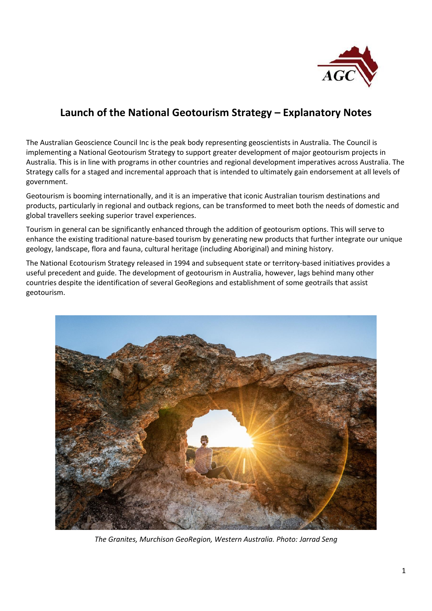

## **Launch of the National Geotourism Strategy – Explanatory Notes**

The Australian Geoscience Council Inc is the peak body representing geoscientists in Australia. The Council is implementing a National Geotourism Strategy to support greater development of major geotourism projects in Australia. This is in line with programs in other countries and regional development imperatives across Australia. The Strategy calls for a staged and incremental approach that is intended to ultimately gain endorsement at all levels of government.

Geotourism is booming internationally, and it is an imperative that iconic Australian tourism destinations and products, particularly in regional and outback regions, can be transformed to meet both the needs of domestic and global travellers seeking superior travel experiences.

Tourism in general can be significantly enhanced through the addition of geotourism options. This will serve to enhance the existing traditional nature-based tourism by generating new products that further integrate our unique geology, landscape, flora and fauna, cultural heritage (including Aboriginal) and mining history.

The National Ecotourism Strategy released in 1994 and subsequent state or territory-based initiatives provides a useful precedent and guide. The development of geotourism in Australia, however, lags behind many other countries despite the identification of several GeoRegions and establishment of some geotrails that assist geotourism.



*The Granites, Murchison GeoRegion, Western Australia. Photo: Jarrad Seng*